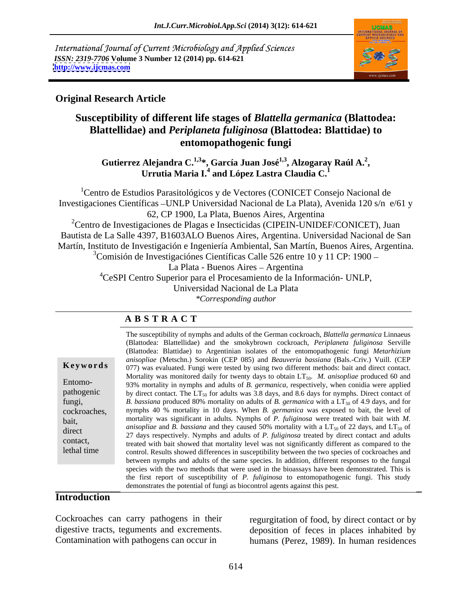International Journal of Current Microbiology and Applied Sciences *ISSN: 2319-7706* **Volume 3 Number 12 (2014) pp. 614-621 <http://www.ijcmas.com>**



### **Original Research Article**

## **Susceptibility of different life stages of** *Blattella germanica* **(Blattodea: Blattellidae) and** *Periplaneta fuliginosa* **(Blattodea: Blattidae) to entomopathogenic fungi**

**Gutierrez Alejandra C.1,3 \*, García Juan José1,3, Alzogaray Raúl A.2 , Urrutia Maria I.<sup>4</sup> and López Lastra Claudia C.<sup>1</sup>**

1Centro de Estudios Parasitológicos y de Vectores (CONICET Consejo Nacional de Investigaciones Científicas UNLP Universidad Nacional de La Plata), Avenida 120 s/n e/61 y 62, CP 1900, La Plata, Buenos Aires, Argentina

<sup>2</sup>Centro de Investigaciones de Plagas e Insecticidas (CIPEIN-UNIDEF/CONICET), Juan Bautista de La Salle 4397, B1603ALO Buenos Aires, Argentina. Universidad Nacional de San Martín, Instituto de Investigación e Ingeniería Ambiental, San Martín, Buenos Aires, Argentina.  $3$ Comisión de Investigaciónes Científicas Calle 526 entre 10 y 11 CP: 1900 –

La Plata - Buenos Aires - Argentina

4CeSPI Centro Superior para el Procesamiento de la Información- UNLP,

Universidad Nacional de La Plata

*\*Corresponding author*

### **A B S T R A C T**

**Keywords** 077) was evaluated. Fungi were tested by using two different methods: bait and direct contact. Entomo- 93% mortality in nymphs and adults of *B. germanica*, respectively, when conidia were applied pathogenic by direct contact. The  $LT_{50}$  for adults was 3.8 days, and 8.6 days for nymphs. Direct contact of fungi, B. *bassiana* produced 80% mortality on adults of *B. germanica* with a LT<sub>50</sub> of 4.9 days, and for cockroaches, nymphs 40 % mortality in 10 days. When *B. germanica* was exposed to bait, the level of bait, mortality was significant in adults. Nymphs of *P. fuliginosa* were treated with bait with *M.*  direct antisophiae and *B. bussiand* and they caused 50% inotially with a L1<sub>50</sub> of 22 days, and L1<sub>50</sub> of 27 days respectively. Nymphs and adults of *P. fuliginosa* treated by direct contact and adults contact,<br>treated with bait showed that mortality level was not significantly different as compared to the lethal time control. Results showed differences in susceptibility between the two species of cockroaches and The susceptibility of nymphs and adults of the German cockroach, *Blattella germanica* Linnaeus (Blattodea: Blattellidae) and the smokybrown cockroach, *Periplaneta fuliginosa* Serville (Blattodea: Blattidae) to Argentinian isolates of the entomopathogenic fungi *Metarhizium anisopliae* (Metschn.) Sorokin (CEP 085) and *Beauveria bassiana* (Bals.-Criv.) Vuill. (CEP Mortality was monitored daily for twenty days to obtain LT<sub>50</sub>. *M. anisopliae* produced 60 and *anisopliae* and *B. bassiana* and they caused 50% mortality with a  $LT_{50}$  of 22 days, and  $LT_{50}$  of between nymphs and adults of the same species. In addition, different responses to the fungal species with the two methods that were used in the bioassays have been demonstrated. This is the first report of susceptibility of *P. fuliginosa* to entomopathogenic fungi. This study demonstrates the potential of fungi as biocontrol agents against this pest.

### **Introduction**

Cockroaches can carry pathogens in their regurgitation of food, by direct contact or by

digestive tracts, teguments and excrements. deposition of feces in places inhabited by Contamination with pathogens can occur in humans (Perez, 1989). In human residences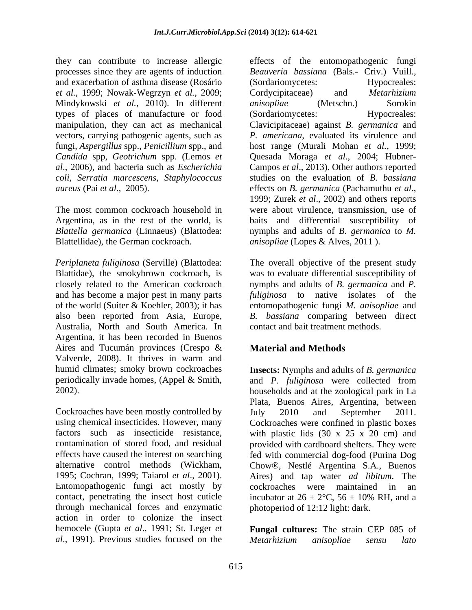they can contribute to increase allergic effects of the entomopathogenic fungi processes since they are agents of induction *Beauveria bassiana* (Bals.- Criv.) Vuill., and exacerbation of asthma disease (Rosário *et al.*, 1999; Nowak-Wegrzyn *et al.*, 2009; Mindykowski *et al.*, 2010). In different types of places of manufacture or food vectors, carrying pathogenic agents, such as *coli*, *Serratia marcescens*, *Staphylococcus aureus* (Pai *et al.*, 2005). *aureus* (Pachamuthu *et al.*, *ermanica* (Pachamuthu *et al.*,

Blattellidae), the German cockroach. *anisopliae* (Lopes & Alves, 2011 ).

and has become a major pest in many parts Australia, North and South America. In Argentina, it has been recorded in Buenos Aires and Tucumán provinces (Crespo & **Material and Methods** Valverde, 2008). It thrives in warm and

Cockroaches have been mostly controlled by  $July = 2010$  and September 2011. Entomopathogenic fungi act mostly by cockroaches were maintained in an contact, penetrating the insect host cuticle incubator at  $26 \pm 2$ °C,  $56 \pm 10$ % RH, and a through mechanical forces and enzymatic action in order to colonize the insect hemocele (Gupta *et al*., 1991; St. Leger *et al*., 1991). Previous studies focused on the

manipulation, they can act as mechanical Clavicipitaceae) against *B. germanica* and fungi, *Aspergillus* spp., *Penicillium* spp., and host range (Murali Mohan *et al.*, 1999; *Candida* spp, *Geotrichum* spp. (Lemos *et*  Quesada Moraga *et al*., 2004; Hubner *al*., 2006)*,* and bacteria such as *Escherichia*  Campos *et al*., 2013). Other authors reported The most common cockroach household in were about virulence, transmission, use of Argentina, as in the rest of the world, is baits and differential susceptibility of *Blattella germanica* (Linnaeus) (Blattodea: nymphs and adults of *B*. *germanica* to *M. Beauveria bassiana* (Bals.- Criv.) Vuill., (Sordariomycetes: Hypocreales: Cordycipitaceae) and *Metarhizium anisopliae* (Metschn.) Sorokin (Sordariomycetes: Hypocreales: *P. americana*, evaluated its virulence and studies on the evaluation of *B. bassiana* effects on *B. germanica* (Pachamuthu *et al*., 1999; Zurek *et al*., 2002) and others reports

*Periplaneta fuliginosa* (Serville) (Blattodea: The overall objective of the present study Blattidae), the smokybrown cockroach, is was to evaluate differential susceptibility of closely related to the American cockroach nymphs and adults of *B. germanica* and *P.*  of the world (Suiter & Koehler, 2003); it has entomopathogenic fungi *M. anisopliae* and also been reported from Asia, Europe, *B. bassiana* comparing between direct *fuliginosa* to native isolates of the contact and bait treatment methods.

# **Material and Methods**

humid climates; smoky brown cockroaches **Insects:** Nymphs and adults of *B. germanica* periodically invade homes, (Appel & Smith, and *P. fuliginosa* were collected from 2002). households and at the zoological park in La using chemical insecticides. However, many Cockroaches were confined in plastic boxes factors such as insecticide resistance, with plastic lids (30 x 25 x 20 cm) and contamination of stored food, and residual provided with cardboard shelters. They were effects have caused the interest on searching fed with commercial dog-food (Purina Dog alternative control methods (Wickham, Chow®, Nestlé Argentina S.A., Buenos 1995; Cochran, 1999; Taiarol *et al*., 2001). Aires) and tap water *ad libitum*. The Plata, Buenos Aires, Argentina, between July 2010 and September 2011. cockroaches were maintained in an incubator at  $26 \pm 2$ °C,  $56 \pm 10$ % RH, and a photoperiod of 12:12 light: dark.

> **Fungal cultures:** The strain CEP 085 of *Metarhizium anisopliae sensu lato*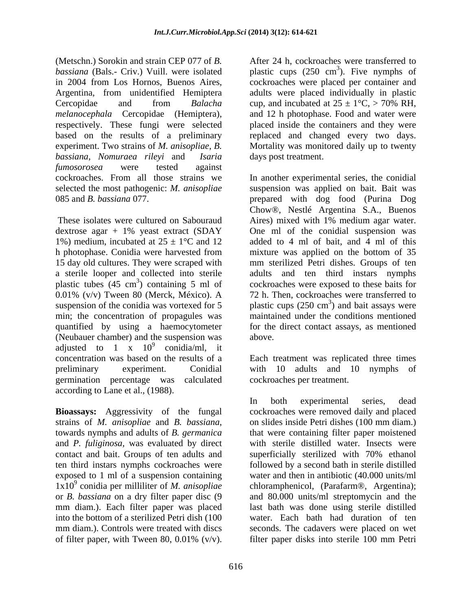(Metschn.) Sorokin and strain CEP 077 of *B.*  Cercopidae and from *Balacha* cup, and incubated at  $25 \pm 1$ °C,  $> 70\%$  RH, respectively. These fungi were selected *bassiana*, *Nomuraea rileyi* and *Isaria fumosorosea* were tested against

0.01% (v/v) Tween 80 (Merck, México). A quantified by using a haemocytometer (Neubauer chamber) and the suspension was adjusted to 1 x  $10^9$  conidia/ml, it  $\frac{9}{2}$  equidic  $\left| m \right|$  it conidia/ml, it concentration was based on the results of a Each treatment was replicated three times preliminary experiment. Conidial with 10 adults and 10 nymphs of germination percentage was calculated according to Lane et al., (1988). (Meachina) diversion and continuous constrained with the continuous were placed by the main 2004 from Lab H, cockbook severe placed per continuous and the main continuous comparison of the main continuous comparison of th

contact and bait. Groups of ten adults and superficially sterilized with 70% ethanol ten third instars nymphs cockroaches were<br>exposed to 1 ml of a suspension containing

bassiana (Bals.- Criv.) Vuill. were isolated plastic cups (250 cm<sup>3</sup>). Five nymphs of in 2004 from Los Hornos, Buenos Aires, cockroaches were placed per container and Argentina, from unidentified Hemiptera adults were placed individually in plastic *melanocephala* Cercopidae (Hemiptera), and 12 h photophase. Food and water were based on the results of a preliminary are replaced and changed every two days. experiment. Two strains of *M. anisopliae*, *B.*  Mortality was monitored daily up to twenty  $3\sqrt{2}$  Eivo nymphs of ). Five nymphs of cup, and incubated at  $25 \pm 1$ °C, > 70% RH, placed inside the containers and they were days post treatment.

cockroaches. From all those strains we In another experimental series, the conidial selected the most pathogenic: *M. anisopliae* suspension was applied on bait. Bait was 085 and *B. bassiana* 077. prepared with dog food (Purina Dog These isolates were cultured on Sabouraud Aires) mixed with 1% medium agar water. dextrose agar + 1% yeast extract (SDAY One ml of the conidial suspension was 1%) medium, incubated at  $25 \pm 1$ °C and 12 added to 4 ml of bait, and 4 ml of this h photophase. Conidia were harvested from mixture was applied on the bottom of 35 15 day old cultures. They were scraped with mm sterilized Petri dishes. Groups of ten a sterile looper and collected into sterile adults and ten third instars nymphs plastic tubes (45 cm<sup>3</sup>) containing 5 ml of cockroaches were exposed to these baits for suspension of the conidia was vortexed for 5 plastic cups  $(250 \text{ cm}^3)$  and bait assays were min; the concentration of propagules was maintained under the conditions mentioned Chow®, Nestlé Argentina S.A., Buenos mixture was applied on the bottom of 35 72 h. Then, cockroaches were transferred to ) and bait assays were for the direct contact assays, as mentioned above.

cockroaches per treatment.

**Bioassays:** Aggressivity of the fungal cockroaches were removed daily and placed strains of *M. anisopliae* and *B. bassiana*, on slides inside Petri dishes (100 mm diam.)<br>towards nymphs and adults of *B. germanica* that were containing filter paper moistened and *P. fuliginosa,* was evaluated by direct with sterile distilled water. Insects were exposed to 1 ml of a suspension containing water and then in antibiotic (40.000 units/ml 1x10<sup>9</sup> conidia per milliliter of *M. anisopliae* chloramphenicol, (Parafarm®, Argentina); or *B. bassiana* on a dry filter paper disc (9 and 80.000 units/ml streptomycin and the mm diam.). Each filter paper was placed last bath was done using sterile distilled into the bottom of a sterilized Petri dish (100 water. Each bath had duration of ten mm diam.). Controls were treated with discs seconds. The cadavers were placed on wet In both experimental series, dead on slides inside Petri dishes (100 mm diam.) that were containing filter paper moistened superficially sterilized with 70% ethanol followed by a second bath in sterile distilled filter paper disks into sterile 100 mm Petri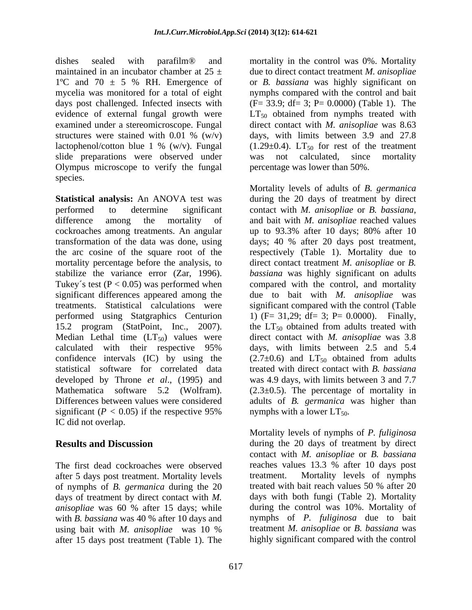$1^{\circ}$ C and  $70 \pm 5$  % RH. Emergence of structures were stained with 0.01 %  $(w/v)$ slide preparations were observed under was not calculated, since mortality Olympus microscope to verify the fungal species.

**Statistical analysis:** An ANOVA test was performed to determine significant contact with *M. anisopliae* or *B. bassiana*, difference among the mortality of and bait with  $M$ . anisopliae reached values cockroaches among treatments. An angular and to 93.3% after 10 days; 80% after 10 significant differences appeared among the 15.2 program (StatPoint, Inc., 2007). the LT<sub>50</sub> obtained from adults treated with Median Lethal time  $(LT_{50})$  values were IC did not overlap.

The first dead cockroaches were observed after 5 days post treatment. Mortality levels<br>of nymphs of *B. permanica* during the 20 treated with bait reach values 50 % after 20 of nymphs of *B. germanica* during the 20 days of treatment by direct contact with *M. anisopliae* was 60 % after 15 days; while with *B. bassiana* was 40 % after 10 days and after 15 days post treatment (Table 1). The

dishes sealed with parafilm® and mortality in the control was 0%. Mortality maintained in an incubator chamber at 25 ± due to direct contact treatment *M. anisopliae* mycelia was monitored for a total of eight hymphs compared with the control and bait days post challenged. Infected insects with  $(F= 33.9; df= 3; P= 0.0000)$  (Table 1). The evidence of external fungal growth were  $LT_{50}$  obtained from nymphs treated with examined under a stereomicroscope. Fungal direct contact with *M. anisopliae* was 8.63 lactophenol/cotton blue 1 % (w/v). Fungal  $(1.29 \pm 0.4)$ . LT<sub>50</sub> for rest of the treatment or *B. bassiana* was highly significant on days, with limits between 3.9 and 27.8 was not calculated, since mortality percentage was lower than 50%.

transformation of the data was done, using days; 40 % after 20 days post treatment, the arc cosine of the square root of the respectively (Table 1). Mortality due to mortality percentage before the analysis, to direct contact treatment *M. anisopliae* or *B.*  stabilize the variance error (Zar, 1996). *bassiana* was highly significant on adults Tukey's test  $(P < 0.05)$  was performed when compared with the control, and mortality treatments. Statistical calculations were significant compared with the control (Table performed using Statgraphics Centurion 1) (F= 31,29; df= 3; P= 0.0000). Finally, calculated with their respective 95% days, with limits between 2.5 and 5.4 confidence intervals (IC) by using the  $(2.7\pm0.6)$  and  $LT_{50}$  obtained from adults statistical software for correlated data treated with direct contact with *B. bassiana* developed by Throne *et al*., (1995) and was 4.9 days, with limits between 3 and 7.7 Mathematica software 5.2 (Wolfram). (2.3±0.5). The percentage of mortality in Differences between values were considered adults of *B. germanica* was higher than significant ( $P < 0.05$ ) if the respective 95% mymphs with a lower  $LT_{50}$ . Mortality levels of adults of *B. germanica* during the 20 days of treatment by direct contact with *M. anisopliae* or *B. bassiana*, and bait with *M. anisopliae* reached values up to 93.3% after 10 days; 80% after 10 due to bait with *M. anisopliae* was the  $LT_{50}$  obtained from adults treated with direct contact with *M. anisopliae* was 3.8 days, with limits between 2.5 and 5.4 nymphs with a lower  $LT_{50}$ .

**Results and Discussion** during the 20 days of treatment by direct using bait with *M. anisopliae* was 10 % Mortality levels of nymphs of *P. fuliginosa* contact with *M. anisopliae* or *B. bassiana* reaches values 13.3 % after 10 days post Mortality levels of nymphs treated with bait reach values 50 % after 20 days with both fungi (Table 2). Mortality during the control was 10%. Mortality of nymphs of *P. fuliginosa* due to bait treatment *M. anisopliae* or *B. bassiana* was highly significant compared with the control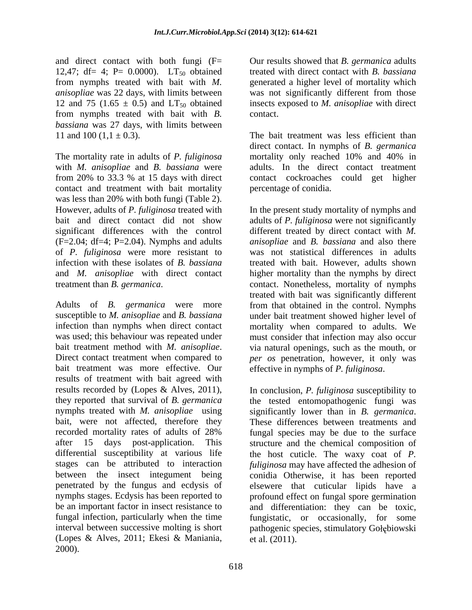and direct contact with both fungi (F= Our results showed that *B. germanica* adults 12,47; df= 4; P= 0.0000).  $LT_{50}$  obtained<br>from nymphs treated with bait with M. from nymphs treated with bait with *M.*  generated a higher level of mortality which *anisopliae* was 22 days, with limits between was not significantly different from those 12 and 75 (1.65  $\pm$  0.5) and LT<sub>50</sub> obtained insects exposed to *M. anisopliae* with direct from nymphs treated with bait with *B. bassiana* was 27 days, with limits between

The mortality rate in adults of *P. fuliginosa* mortality only reached 10% and 40% in with *M. anisopliae* and *B. bassiana* were from 20% to 33.3 % at 15 days with direct contact cockroaches could get higher contact and treatment with bait mortality was less than 20% with both fungi (Table 2). However, adults of *P. fuliginosa* treated with of *P. fuliginosa* were more resistant to

Adults of *B. germanica* were more from that obtained in the control. Nymphs susceptible to *M. anisopliae* and *B. bassiana* under bait treatment showed higher level of infection than nymphs when direct contact mortality when compared to adults. We was used; this behaviour was repeated under must consider that infection may also occur bait treatment method with *M. anisopliae*. via natural openings, such as the mouth, or<br>Direct contact treatment when compared to *per os* penetration, however, it only was bait treatment was more effective. Our effective in nymphs of P. fuliginosa. results of treatment with bait agreed with results recorded by (Lopes & Alves, 2011), In conclusion, P. fuliginosa susceptibility to nymphs treated with *M. anisopliae* using significantly lower than in *B. germanica.* bait, were not affected, therefore they These differences between treatments and recorded mortality rates of adults of 28% fungal infection, particularly when the time (Lopes & Alves, 2011; Ekesi & Maniania, 2000).

treated with direct contact with *B. bassiana* contact.

11 and 100  $(1,1 \pm 0.3)$ . The bait treatment was less efficient than direct contact. In nymphs of *B. germanica* adults. In the direct contact treatment percentage of conidia.

bait and direct contact did not show adults of *P. fuliginosa* were not significantly significant differences with the control different treated by direct contact with *M.*  (F=2.04; df=4; P=2.04). Nymphs and adults *anisopliae* and *B. bassiana* and also there infection with these isolates of *B. bassiana* treated with bait. However, adults shown and *M. anisopliae* with direct contact higher mortality than the nymphs by direct treatment than *B. germanica*. contact. Nonetheless, mortality of nymphs In the present study mortality of nymphs and was not statistical differences in adults treated with bait was significantly different via natural openings, such as the mouth, or *per os* penetration, however, it only was

they reported that survival of *B. germanica* the tested entomopathogenic fungi was after 15 days post-application. This structure and the chemical composition of differential susceptibility at various life the host cuticle. The waxy coat of *P.*  stages can be attributed to interaction *fuliginosa* may have affected the adhesion of between the insect integument being conidia Otherwise, it has been reported penetrated by the fungus and ecdysis of elsewere that cuticular lipids have a nymphs stages. Ecdysis has been reported to profound effect on fungal spore germination be an important factor in insect resistance to and differentiation: they can be toxic, interval between successive molting is short pathogenic species, stimulatory Gołębiowski effective in nymphs of *P. fuliginosa*. In conclusion, *P. fuliginosa* susceptibility to significantly lower than in *B. germanica*. These differences between treatments and fungal species may be due to the surface fungistatic, or occasionally, for some et al. (2011).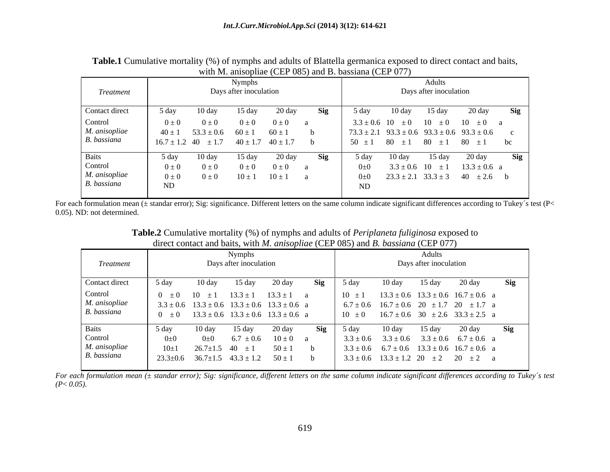**Table.1** Cumulative mortality (%) of nymphs and adults of Blattella germanica exposed to direct contact and baits, with M anisopliae (CEP 085) and B bassiana (CEP 077)

For each formulation mean (± standar error); Sig: significance. Different letters on the same column indicate significant differences according to Tukey's test (P< 0.05). ND: not determined.

| <b>Nymphs</b>                                                                                                                                                                                                                                                                                          |
|--------------------------------------------------------------------------------------------------------------------------------------------------------------------------------------------------------------------------------------------------------------------------------------------------------|
| Days after inoculation<br>Treatment                                                                                                                                                                                                                                                                    |
| Contact direct<br>5 day<br>$10 \text{ day}$<br>20 day<br>Sig<br>5 day<br>15 day                                                                                                                                                                                                                        |
| Control<br>$13.3 \pm 1$ $13.3 \pm 1$ a<br>$0 \pm 0$ 10 $\pm 1$<br>$10 \pm 1$<br>M. anisopliae<br>$3.3 \pm 0.6$ $13.3 \pm 0.6$ $13.3 \pm 0.6$ $13.3 \pm 0.6$ a<br>$6.7 \pm 0.6$ $16.7 \pm 0.6$ $20 \pm 1.7$ $20 \pm 1.7$ a<br>B. bassiana<br>$0 \pm 0$ 13.3 ± 0.6 13.3 ± 0.6 13.3 ± 0.6 a<br>$10 \pm 0$ |
| 20 day<br>Sig<br>10 day<br>5 day<br>5 day<br>$15 \text{ day}$<br>Control<br>$6.7 \pm 0.6$ $10 \pm 0$<br>$3.3 \pm 0.6$<br>$0\pm 0$<br>$0\pm 0$<br>M. anisopliae<br>$50 \pm 1$<br>$3.3 \pm 0.6$ $6.7 \pm 0.6$ $13.3 \pm 0.6$ $16.7 \pm 0.6$ a<br>$26.7 \pm 1.5$ 40 $\pm 1$<br>$10\pm1$                   |
|                                                                                                                                                                                                                                                                                                        |

| Table.2 Cumul.<br>) of nymphs and adults of <i>Periplaneta fuliginosa</i> exposed to<br>$\sim$ unulative mortality $($ $\vee$ $\sim$ $\sim$ |  |
|---------------------------------------------------------------------------------------------------------------------------------------------|--|
| CEP(077)<br>direct contact and baits, with M. anisopliae (CEP 085) and B. bassiana (CEP (                                                   |  |

For each formulation mean  $(\pm$  standar error); Sig: significance, different letters on the same column indicate significant differences according to Tukey's test  $(P< 0.05)$ .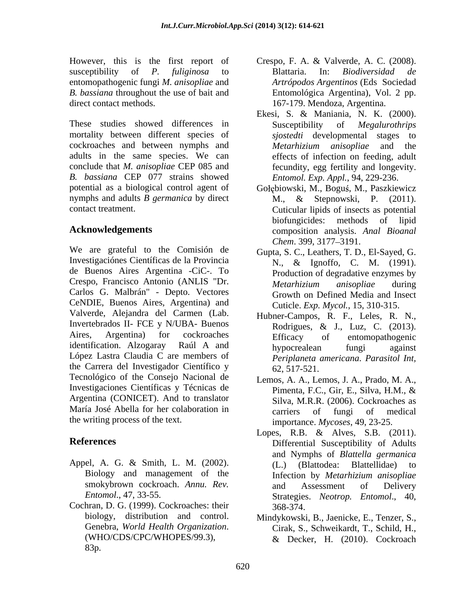However, this is the first report of Crespo, F. A. & Valverde, A. C. (2008). susceptibility of *P. fuliginosa* to entomopathogenic fungi *M. anisopliae* and *B. bassiana* throughout the use of bait and direct contact methods. 167-179. Mendoza, Argentina.

These studies showed differences in Susceptibility of *Megalurothrips* mortality between different species of cockroaches and between nymphs and *Metarhizium anisopliae* and the adults in the same species. We can conclude that *M. anisopliae* CEP 085 and *B. bassiana* CEP 077 strains showed potential as a biological control agent of Gołębiowski, M., Boguś, M., Paszkiewicz nymphs and adults *B germanica* by direct M., & Stepnowski, P. (2011).

We are grateful to the Comisión de Investigaciónes Científicas de la Provincia de Buenos Aires Argentina -CiC-. To Crespo, Francisco Antonio (ANLIS "Dr. *Metarhizium anisopliae* during Carlos G. Malbrán" - Depto. Vectores CeNDIE, Buenos Aires, Argentina) and Valverde, Alejandra del Carmen (Lab. Invertebrados II- FCE y N/UBA- Buenos Rodrigues, & J., Luz, C. (2013). Aires, Argentina) for cockroaches Efficacy of entomonathogenic identification. Alzogaray Raúl A and hypocrealean fungi against identification. Alzogaray Raul A and<br>López Lastra Claudia C are members of the *Perinlaneta americana Parasital Int* the Carrera del Investigador Científico y  $62, 517-521$ . Tecnológico of the Consejo Nacional de Investigaciones Científicas y Técnicas de Pimenta, F.C., Gir, E., Silva, H.M., & Argentina (CONICET). And to translator María José Abella for her colaboration in earriers of fungi of medical the writing process of the text.

- Appel, A. G. & Smith, L. M. (2002). (L.) (Blattodea: Blattellidae) to
- Cochran, D. G. (1999). Cockroaches: their 83p.
- Blattaria. In: *Biodiversidad de Artrópodos Argentinos* (Eds Sociedad Entomológica Argentina), Vol. 2 pp.
- Ekesi, S. & Maniania, N. K. (2000). Susceptibility of *Megalurothrips sjostedti* developmental stages to *Metarhizium anisopliae* and the effects of infection on feeding, adult fecundity, egg fertility and longevity. *Entomol. Exp. Appl.*, 94, 229-236.
- contact treatment. Cuticular lipids of insects as potential **Acknowledgements** composition analysis. *Anal Bioanal* M., & Stepnowski, P. (2011). biofungicides: methods of lipid *Chem.* 399, 3177–3191.
	- Gupta, S. C., Leathers, T. D., El-Sayed, G. N., & Ignoffo, C. M. (1991). Production of degradative enzymes by *Metarhizium anisopliae* during Growth on Defined Media and Insect Cuticle. *Exp. Mycol.*, 15, 310-315.
	- Hubner-Campos, R. F., Leles, R. N., Rodrigues, & J., Luz, C. (2013). Efficacy of entomopathogenic hypocrealean fungi against *Periplaneta americana*. *Parasitol Int,* 62, 517-521.
	- Lemos, A. A., Lemos, J. A., Prado, M. A., Pimenta, F.C., Gir, E., Silva, H.M., & Silva, M.R.R. (2006). Cockroaches as carriers of fungi of medical importance. *Mycoses*, 49, 23-25.
- **References** Differential Susceptibility of Adults Biology and management of the Infection by Metarhizium anisopliae smokybrown cockroach. Annu. Rev. and Assessment of Delivery *Entomol*., 47, 33-55. Strategies. *Neotrop. Entomol*., 40, Lopes, R.B. & Alves, S.B. (2011). and Nymphs of *Blattella germanica* (L.) (Blattodea: Blattellidae) to Infection by *Metarhizium anisopliae* and Assessment of Delivery 368-374.
	- biology, distribution and control. Mindykowski, B., Jaenicke, E., Tenzer, S., Genebra, *World Health Organization*. Cirak, S., Schweikardt, T., Schild, H., (WHO/CDS/CPC/WHOPES/99.3), & Decker, H. (2010). Cockroach Cirak, S., Schweikardt, T., Schild, H., & Decker, H. (2010). Cockroach